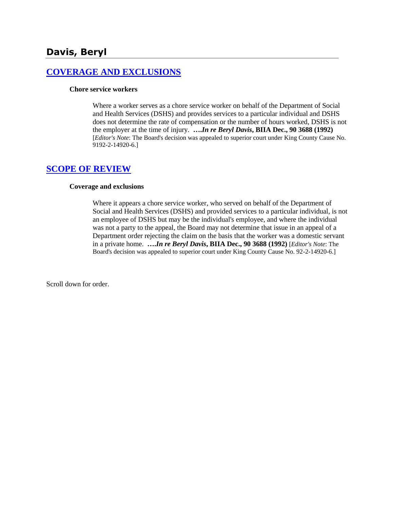# **[COVERAGE AND EXCLUSIONS](http://www.biia.wa.gov/SDSubjectIndex.html#COVERAGE_AND_EXCLUSIONS)**

#### **Chore service workers**

Where a worker serves as a chore service worker on behalf of the Department of Social and Health Services (DSHS) and provides services to a particular individual and DSHS does not determine the rate of compensation or the number of hours worked, DSHS is not the employer at the time of injury. **….***In re Beryl Davis***, BIIA Dec., 90 3688 (1992)**  [*Editor's Note*: The Board's decision was appealed to superior court under King County Cause No. 9192-2-14920-6.]

## **[SCOPE OF REVIEW](http://www.biia.wa.gov/SDSubjectIndex.html#SCOPE_OF_REVIEW)**

#### **Coverage and exclusions**

Where it appears a chore service worker, who served on behalf of the Department of Social and Health Services (DSHS) and provided services to a particular individual, is not an employee of DSHS but may be the individual's employee, and where the individual was not a party to the appeal, the Board may not determine that issue in an appeal of a Department order rejecting the claim on the basis that the worker was a domestic servant in a private home. **….***In re Beryl Davis***, BIIA Dec., 90 3688 (1992)** [*Editor's Note*: The Board's decision was appealed to superior court under King County Cause No. 92-2-14920-6.]

Scroll down for order.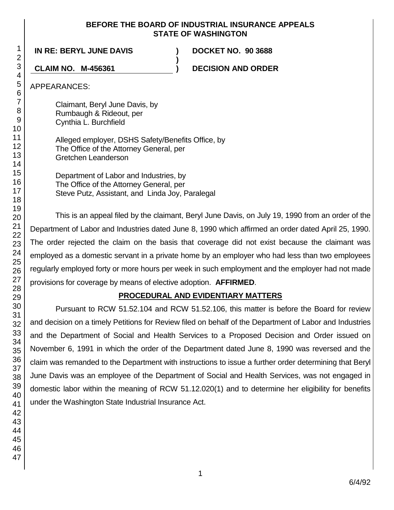#### **BEFORE THE BOARD OF INDUSTRIAL INSURANCE APPEALS STATE OF WASHINGTON**

**)**

**IN RE: BERYL JUNE DAVIS ) DOCKET NO. 90 3688**

**CLAIM NO. M-456361 ) DECISION AND ORDER**

APPEARANCES:

Claimant, Beryl June Davis, by Rumbaugh & Rideout, per Cynthia L. Burchfield

Alleged employer, DSHS Safety/Benefits Office, by The Office of the Attorney General, per Gretchen Leanderson

Department of Labor and Industries, by The Office of the Attorney General, per Steve Putz, Assistant, and Linda Joy, Paralegal

This is an appeal filed by the claimant, Beryl June Davis, on July 19, 1990 from an order of the Department of Labor and Industries dated June 8, 1990 which affirmed an order dated April 25, 1990. The order rejected the claim on the basis that coverage did not exist because the claimant was employed as a domestic servant in a private home by an employer who had less than two employees regularly employed forty or more hours per week in such employment and the employer had not made provisions for coverage by means of elective adoption. **AFFIRMED**.

# **PROCEDURAL AND EVIDENTIARY MATTERS**

Pursuant to RCW 51.52.104 and RCW 51.52.106, this matter is before the Board for review and decision on a timely Petitions for Review filed on behalf of the Department of Labor and Industries and the Department of Social and Health Services to a Proposed Decision and Order issued on November 6, 1991 in which the order of the Department dated June 8, 1990 was reversed and the claim was remanded to the Department with instructions to issue a further order determining that Beryl June Davis was an employee of the Department of Social and Health Services, was not engaged in domestic labor within the meaning of RCW 51.12.020(1) and to determine her eligibility for benefits under the Washington State Industrial Insurance Act.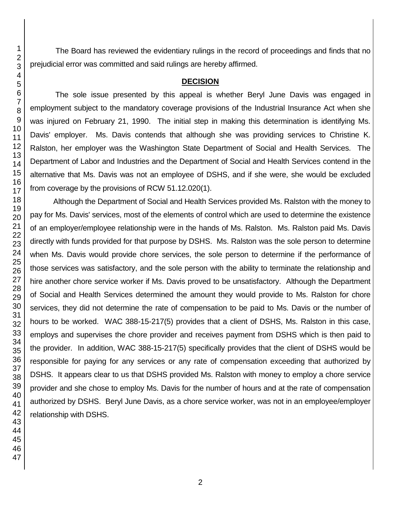The Board has reviewed the evidentiary rulings in the record of proceedings and finds that no prejudicial error was committed and said rulings are hereby affirmed.

#### **DECISION**

The sole issue presented by this appeal is whether Beryl June Davis was engaged in employment subject to the mandatory coverage provisions of the Industrial Insurance Act when she was injured on February 21, 1990. The initial step in making this determination is identifying Ms. Davis' employer. Ms. Davis contends that although she was providing services to Christine K. Ralston, her employer was the Washington State Department of Social and Health Services. The Department of Labor and Industries and the Department of Social and Health Services contend in the alternative that Ms. Davis was not an employee of DSHS, and if she were, she would be excluded from coverage by the provisions of RCW 51.12.020(1).

Although the Department of Social and Health Services provided Ms. Ralston with the money to pay for Ms. Davis' services, most of the elements of control which are used to determine the existence of an employer/employee relationship were in the hands of Ms. Ralston. Ms. Ralston paid Ms. Davis directly with funds provided for that purpose by DSHS. Ms. Ralston was the sole person to determine when Ms. Davis would provide chore services, the sole person to determine if the performance of those services was satisfactory, and the sole person with the ability to terminate the relationship and hire another chore service worker if Ms. Davis proved to be unsatisfactory. Although the Department of Social and Health Services determined the amount they would provide to Ms. Ralston for chore services, they did not determine the rate of compensation to be paid to Ms. Davis or the number of hours to be worked. WAC 388-15-217(5) provides that a client of DSHS, Ms. Ralston in this case, employs and supervises the chore provider and receives payment from DSHS which is then paid to the provider. In addition, WAC 388-15-217(5) specifically provides that the client of DSHS would be responsible for paying for any services or any rate of compensation exceeding that authorized by DSHS. It appears clear to us that DSHS provided Ms. Ralston with money to employ a chore service provider and she chose to employ Ms. Davis for the number of hours and at the rate of compensation authorized by DSHS. Beryl June Davis, as a chore service worker, was not in an employee/employer relationship with DSHS.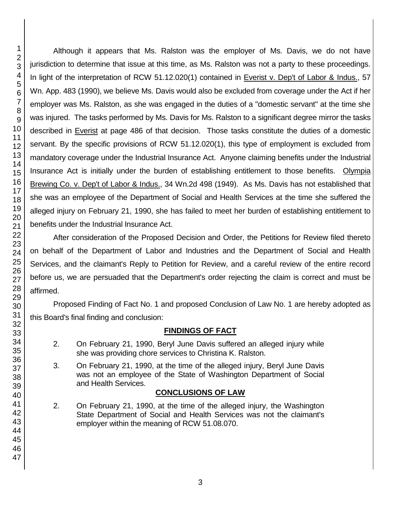Although it appears that Ms. Ralston was the employer of Ms. Davis, we do not have jurisdiction to determine that issue at this time, as Ms. Ralston was not a party to these proceedings. In light of the interpretation of RCW 51.12.020(1) contained in Everist v. Dep't of Labor & Indus., 57 Wn. App. 483 (1990), we believe Ms. Davis would also be excluded from coverage under the Act if her employer was Ms. Ralston, as she was engaged in the duties of a "domestic servant" at the time she was injured. The tasks performed by Ms. Davis for Ms. Ralston to a significant degree mirror the tasks described in Everist at page 486 of that decision. Those tasks constitute the duties of a domestic servant. By the specific provisions of RCW 51.12.020(1), this type of employment is excluded from mandatory coverage under the Industrial Insurance Act. Anyone claiming benefits under the Industrial Insurance Act is initially under the burden of establishing entitlement to those benefits. Olympia Brewing Co. v. Dep't of Labor & Indus., 34 Wn.2d 498 (1949). As Ms. Davis has not established that she was an employee of the Department of Social and Health Services at the time she suffered the alleged injury on February 21, 1990, she has failed to meet her burden of establishing entitlement to benefits under the Industrial Insurance Act.

After consideration of the Proposed Decision and Order, the Petitions for Review filed thereto on behalf of the Department of Labor and Industries and the Department of Social and Health Services, and the claimant's Reply to Petition for Review, and a careful review of the entire record before us, we are persuaded that the Department's order rejecting the claim is correct and must be affirmed.

Proposed Finding of Fact No. 1 and proposed Conclusion of Law No. 1 are hereby adopted as this Board's final finding and conclusion:

## **FINDINGS OF FACT**

- 2. On February 21, 1990, Beryl June Davis suffered an alleged injury while she was providing chore services to Christina K. Ralston.
- 3. On February 21, 1990, at the time of the alleged injury, Beryl June Davis was not an employee of the State of Washington Department of Social and Health Services.

## **CONCLUSIONS OF LAW**

2. On February 21, 1990, at the time of the alleged injury, the Washington State Department of Social and Health Services was not the claimant's employer within the meaning of RCW 51.08.070.